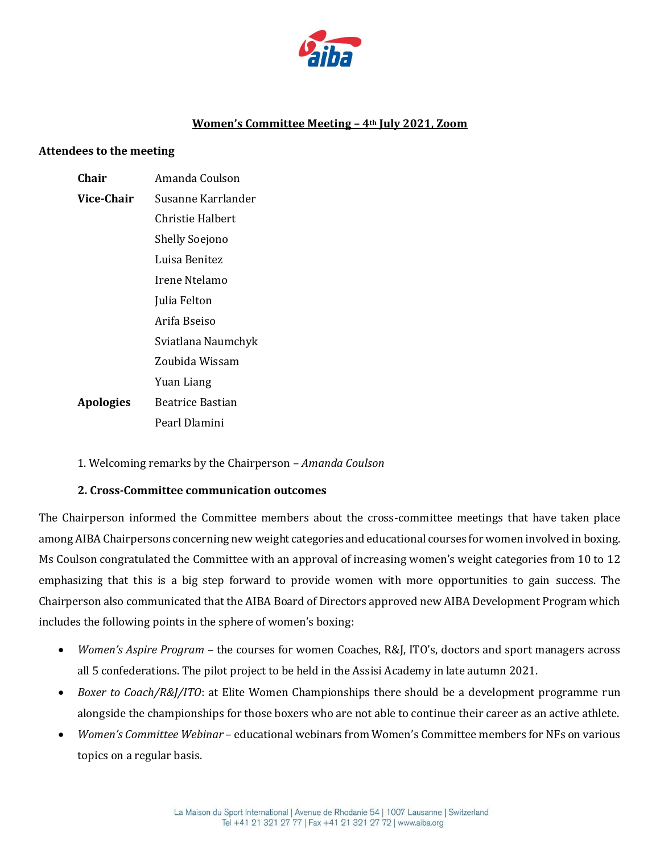

# **Women's Committee Meeting – 4th July 2021, Zoom**

#### **Attendees to the meeting**

| Chair            | Amanda Coulson     |
|------------------|--------------------|
| Vice-Chair       | Susanne Karrlander |
|                  | Christie Halbert   |
|                  | Shelly Soejono     |
|                  | Luisa Benitez      |
|                  | Irene Ntelamo      |
|                  | Julia Felton       |
|                  | Arifa Bseiso       |
|                  | Sviatlana Naumchyk |
|                  | Zoubida Wissam     |
|                  | Yuan Liang         |
| <b>Apologies</b> | Beatrice Bastian   |
|                  | Pearl Dlamini      |

1. Welcoming remarks by the Chairperson – *Amanda Coulson* 

#### **2. Cross-Committee communication outcomes**

The Chairperson informed the Committee members about the cross-committee meetings that have taken place among AIBA Chairpersons concerning new weight categories and educational courses for women involved in boxing. Ms Coulson congratulated the Committee with an approval of increasing women's weight categories from 10 to 12 emphasizing that this is a big step forward to provide women with more opportunities to gain success. The Chairperson also communicated that the AIBA Board of Directors approved new AIBA Development Program which includes the following points in the sphere of women's boxing:

- *Women's Aspire Program* the courses for women Coaches, R&J, ITO's, doctors and sport managers across all 5 confederations. The pilot project to be held in the Assisi Academy in late autumn 2021.
- *Boxer to Coach/R&J/ITO*: at Elite Women Championships there should be a development programme run alongside the championships for those boxers who are not able to continue their career as an active athlete.
- *Women's Committee Webinar* educational webinars from Women's Committee members for NFs on various topics on a regular basis.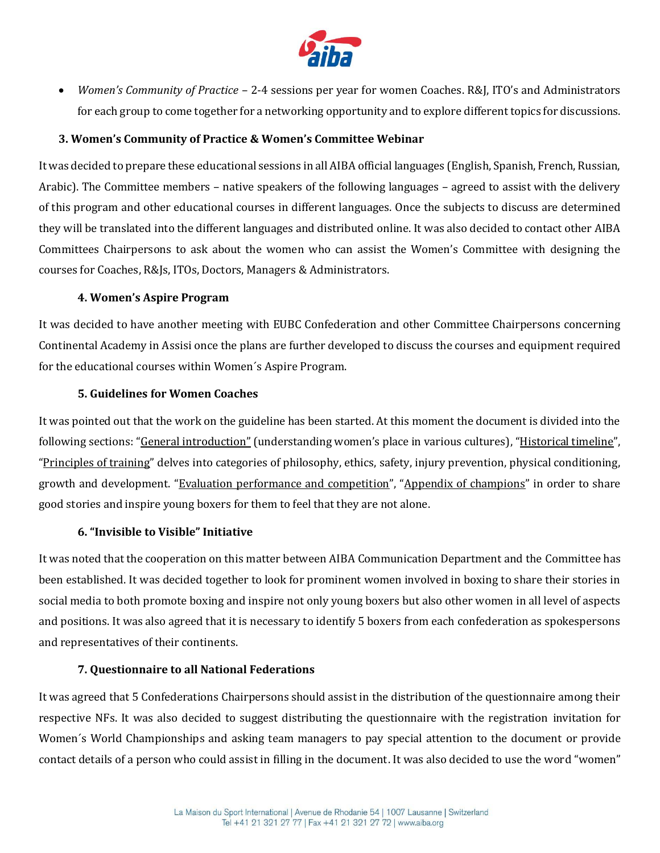

 *Women's Community of Practice* – 2-4 sessions per year for women Coaches. R&J, ITO's and Administrators for each group to come together for a networking opportunity and to explore different topics for discussions.

### **3. Women's Community of Practice & Women's Committee Webinar**

It was decided to prepare these educational sessions in all AIBA official languages (English, Spanish, French, Russian, Arabic). The Committee members – native speakers of the following languages – agreed to assist with the delivery of this program and other educational courses in different languages. Once the subjects to discuss are determined they will be translated into the different languages and distributed online. It was also decided to contact other AIBA Committees Chairpersons to ask about the women who can assist the Women's Committee with designing the courses for Coaches, R&Js, ITOs, Doctors, Managers & Administrators.

#### **4. Women's Aspire Program**

It was decided to have another meeting with EUBC Confederation and other Committee Chairpersons concerning Continental Academy in Assisi once the plans are further developed to discuss the courses and equipment required for the educational courses within Women´s Aspire Program.

#### **5. Guidelines for Women Coaches**

It was pointed out that the work on the guideline has been started. At this moment the document is divided into the following sections: "General introduction"(understanding women's place in various cultures), "Historical timeline", "Principles of training" delves into categories of philosophy, ethics, safety, injury prevention, physical conditioning, growth and development. "Evaluation performance and competition", "Appendix of champions" in order to share good stories and inspire young boxers for them to feel that they are not alone.

#### **6. "Invisible to Visible" Initiative**

It was noted that the cooperation on this matter between AIBA Communication Department and the Committee has been established. It was decided together to look for prominent women involved in boxing to share their stories in social media to both promote boxing and inspire not only young boxers but also other women in all level of aspects and positions. It was also agreed that it is necessary to identify 5 boxers from each confederation as spokespersons and representatives of their continents.

#### **7. Questionnaire to all National Federations**

It was agreed that 5 Confederations Chairpersons should assist in the distribution of the questionnaire among their respective NFs. It was also decided to suggest distributing the questionnaire with the registration invitation for Women´s World Championships and asking team managers to pay special attention to the document or provide contact details of a person who could assist in filling in the document. It was also decided to use the word "women"